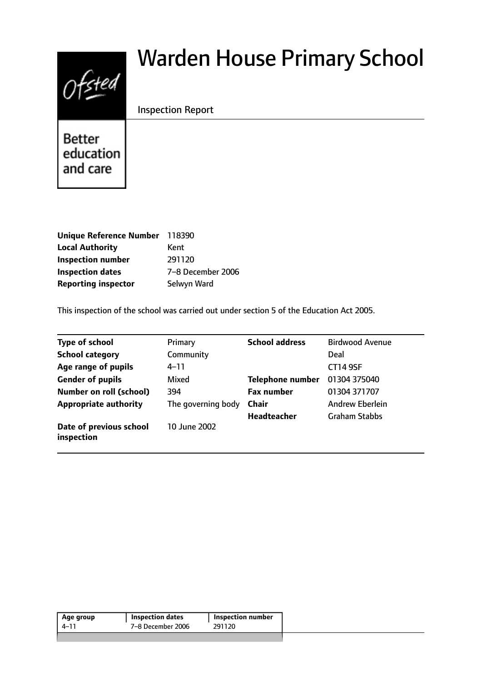# $0$ fsted

# Warden House Primary School

Inspection Report

**Better** education and care

| Unique Reference Number 118390 |                   |
|--------------------------------|-------------------|
| <b>Local Authority</b>         | Kent              |
| <b>Inspection number</b>       | 291120            |
| <b>Inspection dates</b>        | 7-8 December 2006 |
| <b>Reporting inspector</b>     | Selwyn Ward       |

This inspection of the school was carried out under section 5 of the Education Act 2005.

| <b>Type of school</b>                 | Primary            | <b>School address</b>   | <b>Birdwood Avenue</b> |
|---------------------------------------|--------------------|-------------------------|------------------------|
| <b>School category</b>                | Community          |                         | Deal                   |
| Age range of pupils                   | 4–11               |                         | <b>CT14 9SF</b>        |
| <b>Gender of pupils</b>               | Mixed              | <b>Telephone number</b> | 01304 375040           |
| <b>Number on roll (school)</b>        | 394                | <b>Fax number</b>       | 01304 371707           |
| <b>Appropriate authority</b>          | The governing body | <b>Chair</b>            | <b>Andrew Eberlein</b> |
|                                       |                    | <b>Headteacher</b>      | <b>Graham Stabbs</b>   |
| Date of previous school<br>inspection | 10 June 2002       |                         |                        |

| Age group | <b>Inspection dates</b> | Inspection number |
|-----------|-------------------------|-------------------|
| 4–11      | 7–8 December 2006       | 291120            |
|           |                         |                   |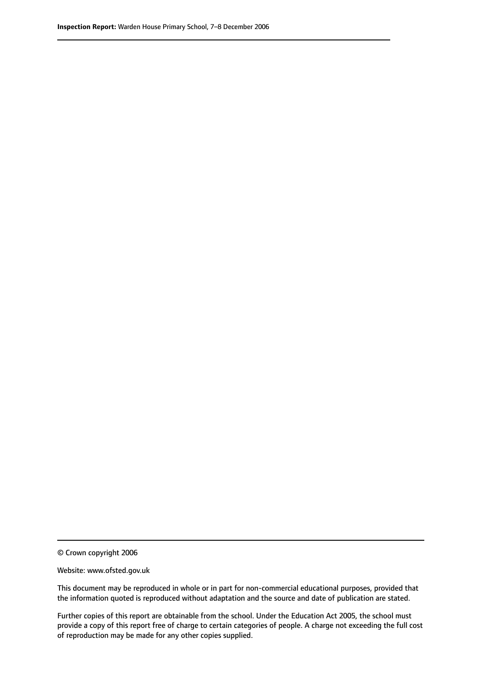© Crown copyright 2006

Website: www.ofsted.gov.uk

This document may be reproduced in whole or in part for non-commercial educational purposes, provided that the information quoted is reproduced without adaptation and the source and date of publication are stated.

Further copies of this report are obtainable from the school. Under the Education Act 2005, the school must provide a copy of this report free of charge to certain categories of people. A charge not exceeding the full cost of reproduction may be made for any other copies supplied.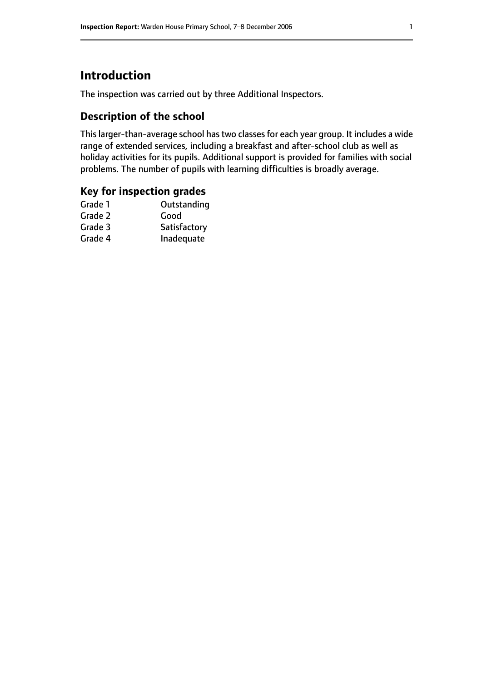# **Introduction**

The inspection was carried out by three Additional Inspectors.

# **Description of the school**

This larger-than-average school has two classes for each year group. It includes a wide range of extended services, including a breakfast and after-school club as well as holiday activities for its pupils. Additional support is provided for families with social problems. The number of pupils with learning difficulties is broadly average.

#### **Key for inspection grades**

| Grade 1 | Outstanding  |
|---------|--------------|
| Grade 2 | Good         |
| Grade 3 | Satisfactory |
| Grade 4 | Inadequate   |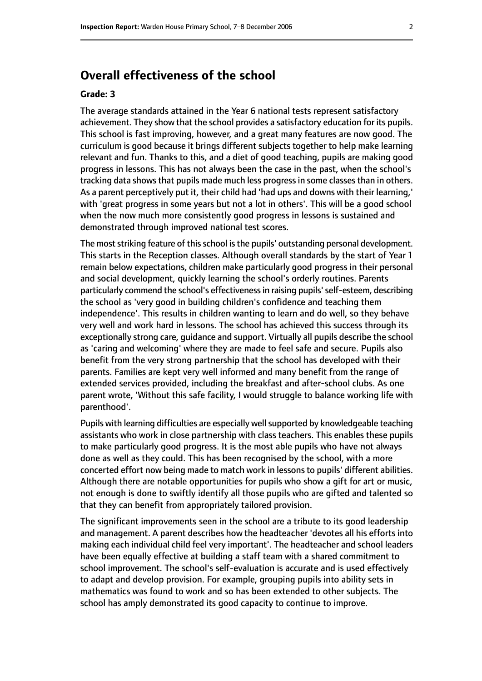# **Overall effectiveness of the school**

#### **Grade: 3**

The average standards attained in the Year 6 national tests represent satisfactory achievement. They show that the school provides a satisfactory education for its pupils. This school is fast improving, however, and a great many features are now good. The curriculum is good because it brings different subjects together to help make learning relevant and fun. Thanks to this, and a diet of good teaching, pupils are making good progress in lessons. This has not always been the case in the past, when the school's tracking data shows that pupils made much less progress in some classes than in others. As a parent perceptively put it, their child had 'had ups and downs with their learning,' with 'great progress in some years but not a lot in others'. This will be a good school when the now much more consistently good progress in lessons is sustained and demonstrated through improved national test scores.

The most striking feature of this school is the pupils' outstanding personal development. This starts in the Reception classes. Although overall standards by the start of Year 1 remain below expectations, children make particularly good progress in their personal and social development, quickly learning the school's orderly routines. Parents particularly commend the school's effectiveness in raising pupils' self-esteem, describing the school as 'very good in building children's confidence and teaching them independence'. This results in children wanting to learn and do well, so they behave very well and work hard in lessons. The school has achieved this success through its exceptionally strong care, guidance and support. Virtually all pupils describe the school as 'caring and welcoming' where they are made to feel safe and secure. Pupils also benefit from the very strong partnership that the school has developed with their parents. Families are kept very well informed and many benefit from the range of extended services provided, including the breakfast and after-school clubs. As one parent wrote, 'Without this safe facility, I would struggle to balance working life with parenthood'.

Pupils with learning difficulties are especially well supported by knowledgeable teaching assistants who work in close partnership with class teachers. This enables these pupils to make particularly good progress. It is the most able pupils who have not always done as well as they could. This has been recognised by the school, with a more concerted effort now being made to match work in lessons to pupils' different abilities. Although there are notable opportunities for pupils who show a gift for art or music, not enough is done to swiftly identify all those pupils who are gifted and talented so that they can benefit from appropriately tailored provision.

The significant improvements seen in the school are a tribute to its good leadership and management. A parent describes how the headteacher 'devotes all his efforts into making each individual child feel very important'. The headteacher and school leaders have been equally effective at building a staff team with a shared commitment to school improvement. The school's self-evaluation is accurate and is used effectively to adapt and develop provision. For example, grouping pupils into ability sets in mathematics was found to work and so has been extended to other subjects. The school has amply demonstrated its good capacity to continue to improve.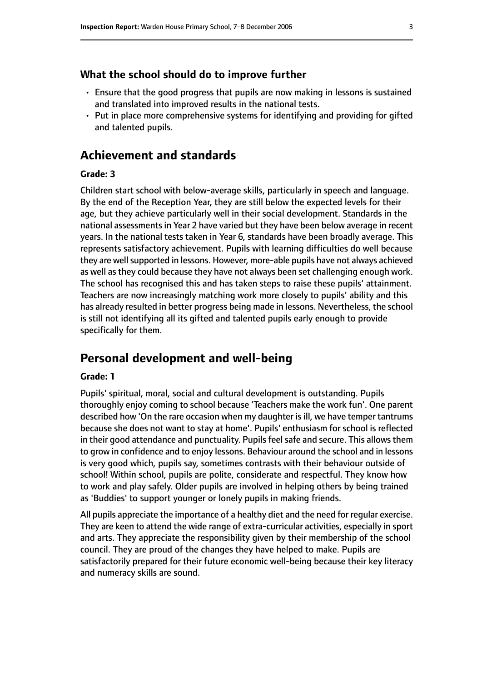#### **What the school should do to improve further**

- Ensure that the good progress that pupils are now making in lessons is sustained and translated into improved results in the national tests.
- Put in place more comprehensive systems for identifying and providing for gifted and talented pupils.

# **Achievement and standards**

#### **Grade: 3**

Children start school with below-average skills, particularly in speech and language. By the end of the Reception Year, they are still below the expected levels for their age, but they achieve particularly well in their social development. Standards in the national assessments in Year 2 have varied but they have been below average in recent years. In the national tests taken in Year 6, standards have been broadly average. This represents satisfactory achievement. Pupils with learning difficulties do well because they are well supported in lessons. However, more-able pupils have not always achieved as well as they could because they have not always been set challenging enough work. The school has recognised this and has taken steps to raise these pupils' attainment. Teachers are now increasingly matching work more closely to pupils' ability and this has already resulted in better progress being made in lessons. Nevertheless, the school is still not identifying all its gifted and talented pupils early enough to provide specifically for them.

# **Personal development and well-being**

#### **Grade: 1**

Pupils' spiritual, moral, social and cultural development is outstanding. Pupils thoroughly enjoy coming to school because 'Teachers make the work fun'. One parent described how 'On the rare occasion when my daughter isill, we have temper tantrums because she does not want to stay at home'. Pupils' enthusiasm for school is reflected in their good attendance and punctuality. Pupils feel safe and secure. This allows them to grow in confidence and to enjoy lessons. Behaviour around the school and in lessons is very good which, pupils say, sometimes contrasts with their behaviour outside of school! Within school, pupils are polite, considerate and respectful. They know how to work and play safely. Older pupils are involved in helping others by being trained as 'Buddies' to support younger or lonely pupils in making friends.

All pupils appreciate the importance of a healthy diet and the need for regular exercise. They are keen to attend the wide range of extra-curricular activities, especially in sport and arts. They appreciate the responsibility given by their membership of the school council. They are proud of the changes they have helped to make. Pupils are satisfactorily prepared for their future economic well-being because their key literacy and numeracy skills are sound.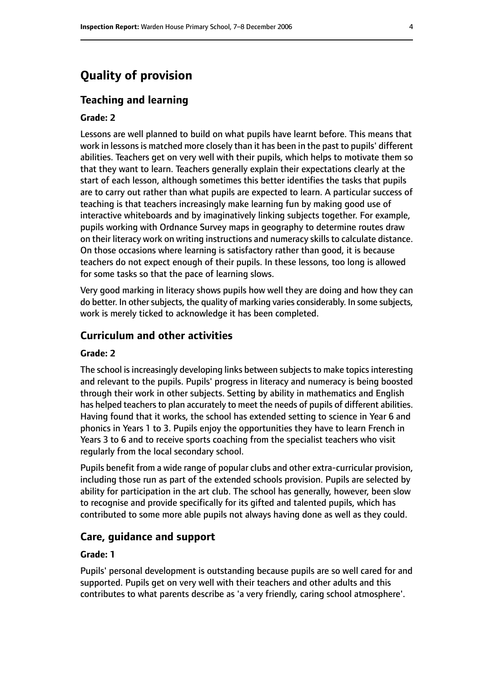# **Quality of provision**

#### **Teaching and learning**

#### **Grade: 2**

Lessons are well planned to build on what pupils have learnt before. This means that work in lessons is matched more closely than it has been in the past to pupils' different abilities. Teachers get on very well with their pupils, which helps to motivate them so that they want to learn. Teachers generally explain their expectations clearly at the start of each lesson, although sometimes this better identifies the tasks that pupils are to carry out rather than what pupils are expected to learn. A particular success of teaching is that teachers increasingly make learning fun by making good use of interactive whiteboards and by imaginatively linking subjects together. For example, pupils working with Ordnance Survey maps in geography to determine routes draw on their literacy work on writing instructions and numeracy skills to calculate distance. On those occasions where learning is satisfactory rather than good, it is because teachers do not expect enough of their pupils. In these lessons, too long is allowed for some tasks so that the pace of learning slows.

Very good marking in literacy shows pupils how well they are doing and how they can do better. In other subjects, the quality of marking varies considerably. In some subjects, work is merely ticked to acknowledge it has been completed.

#### **Curriculum and other activities**

#### **Grade: 2**

The school is increasingly developing links between subjects to make topics interesting and relevant to the pupils. Pupils' progress in literacy and numeracy is being boosted through their work in other subjects. Setting by ability in mathematics and English has helped teachers to plan accurately to meet the needs of pupils of different abilities. Having found that it works, the school has extended setting to science in Year 6 and phonics in Years 1 to 3. Pupils enjoy the opportunities they have to learn French in Years 3 to 6 and to receive sports coaching from the specialist teachers who visit regularly from the local secondary school.

Pupils benefit from a wide range of popular clubs and other extra-curricular provision, including those run as part of the extended schools provision. Pupils are selected by ability for participation in the art club. The school has generally, however, been slow to recognise and provide specifically for its gifted and talented pupils, which has contributed to some more able pupils not always having done as well as they could.

#### **Care, guidance and support**

#### **Grade: 1**

Pupils' personal development is outstanding because pupils are so well cared for and supported. Pupils get on very well with their teachers and other adults and this contributes to what parents describe as 'a very friendly, caring school atmosphere'.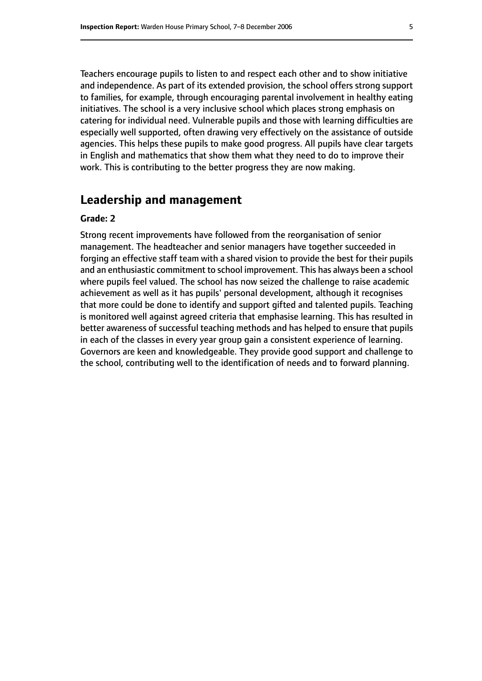Teachers encourage pupils to listen to and respect each other and to show initiative and independence. As part of its extended provision, the school offers strong support to families, for example, through encouraging parental involvement in healthy eating initiatives. The school is a very inclusive school which places strong emphasis on catering for individual need. Vulnerable pupils and those with learning difficulties are especially well supported, often drawing very effectively on the assistance of outside agencies. This helps these pupils to make good progress. All pupils have clear targets in English and mathematics that show them what they need to do to improve their work. This is contributing to the better progress they are now making.

#### **Leadership and management**

#### **Grade: 2**

Strong recent improvements have followed from the reorganisation of senior management. The headteacher and senior managers have together succeeded in forging an effective staff team with a shared vision to provide the best for their pupils and an enthusiastic commitment to school improvement. This has always been a school where pupils feel valued. The school has now seized the challenge to raise academic achievement as well as it has pupils' personal development, although it recognises that more could be done to identify and support gifted and talented pupils. Teaching is monitored well against agreed criteria that emphasise learning. This has resulted in better awareness of successful teaching methods and has helped to ensure that pupils in each of the classes in every year group gain a consistent experience of learning. Governors are keen and knowledgeable. They provide good support and challenge to the school, contributing well to the identification of needs and to forward planning.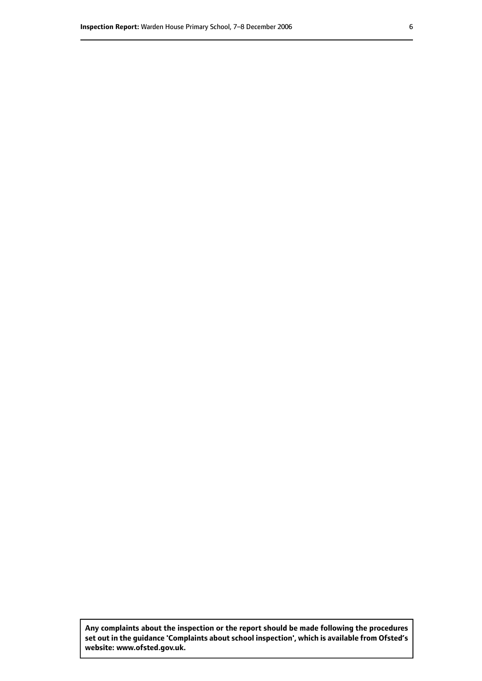**Any complaints about the inspection or the report should be made following the procedures set out inthe guidance 'Complaints about school inspection', whichis available from Ofsted's website: www.ofsted.gov.uk.**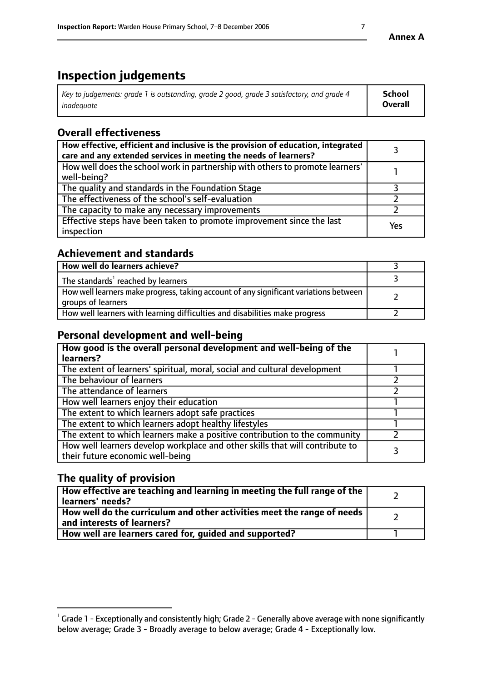# **Inspection judgements**

| Key to judgements: grade 1 is outstanding, grade 2 good, grade 3 satisfactory, and grade 4 | <b>School</b>  |
|--------------------------------------------------------------------------------------------|----------------|
| inadeauate                                                                                 | <b>Overall</b> |

# **Overall effectiveness**

| How effective, efficient and inclusive is the provision of education, integrated<br>care and any extended services in meeting the needs of learners? |     |
|------------------------------------------------------------------------------------------------------------------------------------------------------|-----|
| How well does the school work in partnership with others to promote learners'<br>well-being?                                                         |     |
| The quality and standards in the Foundation Stage                                                                                                    |     |
| The effectiveness of the school's self-evaluation                                                                                                    |     |
| The capacity to make any necessary improvements                                                                                                      |     |
| Effective steps have been taken to promote improvement since the last<br>inspection                                                                  | Yes |

# **Achievement and standards**

| How well do learners achieve?                                                                               |  |
|-------------------------------------------------------------------------------------------------------------|--|
| The standards <sup>1</sup> reached by learners                                                              |  |
| How well learners make progress, taking account of any significant variations between<br>groups of learners |  |
| How well learners with learning difficulties and disabilities make progress                                 |  |

# **Personal development and well-being**

| How good is the overall personal development and well-being of the<br>learners?                                  |  |
|------------------------------------------------------------------------------------------------------------------|--|
| The extent of learners' spiritual, moral, social and cultural development                                        |  |
| The behaviour of learners                                                                                        |  |
| The attendance of learners                                                                                       |  |
| How well learners enjoy their education                                                                          |  |
| The extent to which learners adopt safe practices                                                                |  |
| The extent to which learners adopt healthy lifestyles                                                            |  |
| The extent to which learners make a positive contribution to the community                                       |  |
| How well learners develop workplace and other skills that will contribute to<br>their future economic well-being |  |

# **The quality of provision**

| How effective are teaching and learning in meeting the full range of the<br>  learners' needs?                      |  |
|---------------------------------------------------------------------------------------------------------------------|--|
| $\mid$ How well do the curriculum and other activities meet the range of needs<br>$\mid$ and interests of learners? |  |
| How well are learners cared for, guided and supported?                                                              |  |

 $^1$  Grade 1 - Exceptionally and consistently high; Grade 2 - Generally above average with none significantly below average; Grade 3 - Broadly average to below average; Grade 4 - Exceptionally low.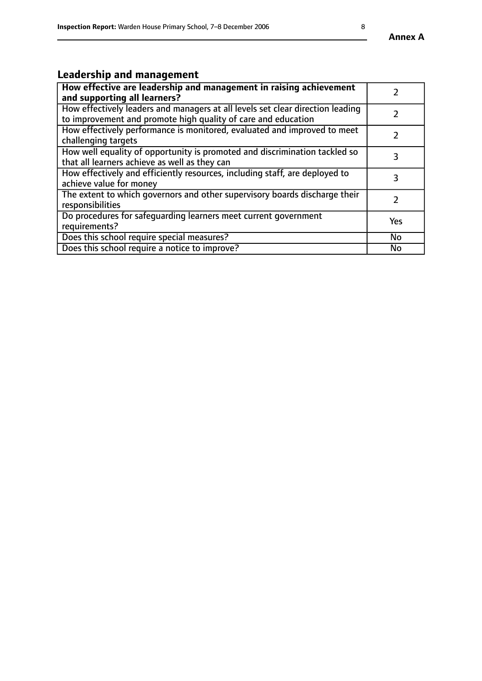# **Leadership and management**

| How effective are leadership and management in raising achievement<br>and supporting all learners?                                              |               |
|-------------------------------------------------------------------------------------------------------------------------------------------------|---------------|
| How effectively leaders and managers at all levels set clear direction leading<br>to improvement and promote high quality of care and education |               |
| How effectively performance is monitored, evaluated and improved to meet<br>challenging targets                                                 | $\mathcal{L}$ |
| How well equality of opportunity is promoted and discrimination tackled so<br>that all learners achieve as well as they can                     | 3             |
| How effectively and efficiently resources, including staff, are deployed to<br>achieve value for money                                          | 3             |
| The extent to which governors and other supervisory boards discharge their<br>responsibilities                                                  |               |
| Do procedures for safequarding learners meet current government<br>requirements?                                                                | Yes           |
| Does this school require special measures?                                                                                                      | No            |
| Does this school require a notice to improve?                                                                                                   | <b>No</b>     |